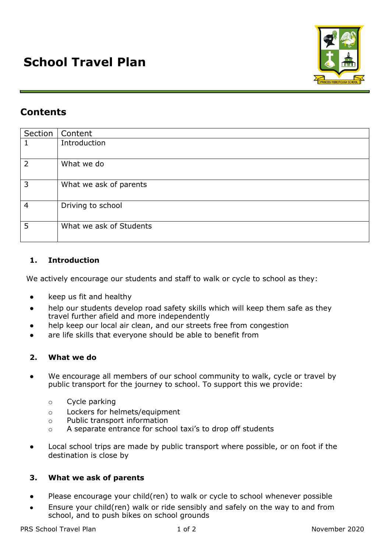

# **Contents**

| Section        | Content                 |
|----------------|-------------------------|
| 1              | Introduction            |
| $\overline{2}$ | What we do              |
| 3              | What we ask of parents  |
| $\overline{4}$ | Driving to school       |
| 5              | What we ask of Students |

## **1. Introduction**

We actively encourage our students and staff to walk or cycle to school as they:

- keep us fit and healthy
- help our students develop road safety skills which will keep them safe as they travel further afield and more independently
- help keep our local air clean, and our streets free from congestion
- are life skills that everyone should be able to benefit from

#### **2. What we do**

- We encourage all members of our school community to walk, cycle or travel by public transport for the journey to school. To support this we provide:
	- o Cycle parking
	- o Lockers for helmets/equipment
	- o Public transport information
	- o A separate entrance for school taxi's to drop off students
- Local school trips are made by public transport where possible, or on foot if the destination is close by

#### **3. What we ask of parents**

- Please encourage your child(ren) to walk or cycle to school whenever possible
- Ensure your child(ren) walk or ride sensibly and safely on the way to and from school, and to push bikes on school grounds